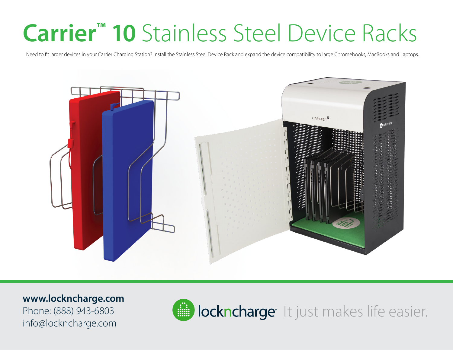## **Carrier™ 10** Stainless Steel Device Racks

Need to fit larger devices in your Carrier Charging Station? Install the Stainless Steel Device Rack and expand the device compatibility to large Chromebooks, MacBooks and Laptops.



**www.lockncharge.com** Phone: (888) 943-6803